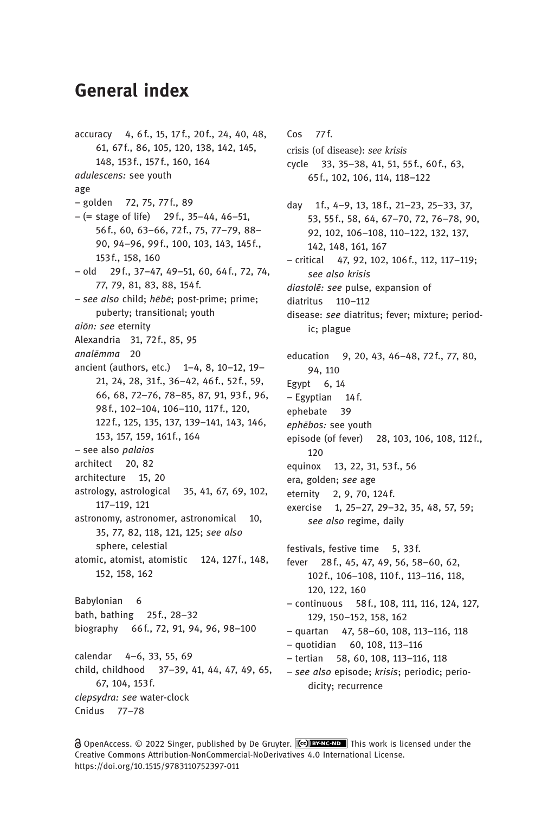## General index

accuracy 4, 6 f., 15, 17f., 20 f., 24, 40, 48, 61, 67f., 86, 105, 120, 138, 142, 145, 148, 153f., 157f., 160, 164 adulescens: see youth age – golden 72, 75, 77f., 89  $- (= stage of life)$  29f., 35-44, 46-51, 56f., 60, 63–66, 72f., 75, 77–79, 88– 90, 94–96, 99f., 100, 103, 143, 145f., 153f., 158, 160 – old 29f., 37–47, 49–51, 60, 64f., 72, 74, 77, 79, 81, 83, 88, 154f. – see also child; hēbē; post-prime; prime; puberty; transitional; youth aiōn: see eternity Alexandria 31, 72f., 85, 95 analēmma 20 ancient (authors, etc.) 1–4, 8, 10–12, 19– 21, 24, 28, 31f., 36-42, 46f., 52f., 59, 66, 68, 72–76, 78–85, 87, 91, 93f., 96, 98f., 102–104, 106–110, 117f., 120, 122f., 125, 135, 137, 139–141, 143, 146, 153, 157, 159, 161f., 164 – see also palaios architect 20, 82 architecture 15, 20 astrology, astrological 35, 41, 67, 69, 102, 117–119, 121 astronomy, astronomer, astronomical 10, 35, 77, 82, 118, 121, 125; see also sphere, celestial atomic, atomist, atomistic 124, 127f., 148, 152, 158, 162 Babylonian 6 bath, bathing 25f., 28–32 biography 66f., 72, 91, 94, 96, 98–100 calendar 4–6, 33, 55, 69 child, childhood 37–39, 41, 44, 47, 49, 65, 67, 104, 153f. clepsydra: see water-clock Cnidus 77–78

 $Cos$  77 $f$ . crisis (of disease): see krisis cycle 33, 35–38, 41, 51, 55 f., 60f., 63, 65 f., 102, 106, 114, 118–122 day 1f., 4-9, 13, 18f., 21-23, 25-33, 37, 53, 55f., 58, 64, 67–70, 72, 76–78, 90, 92, 102, 106–108, 110–122, 132, 137, 142, 148, 161, 167 – critical 47, 92, 102, 106f., 112, 117–119; see also krisis diastolē: see pulse, expansion of diatritus 110–112 disease: see diatritus; fever; mixture; periodic; plague education 9, 20, 43, 46–48, 72f., 77, 80, 94, 110 Egypt 6, 14 – Egyptian 14f. ephebate 39 ephēbos: see youth episode (of fever) 28, 103, 106, 108, 112f., 120 equinox 13, 22, 31, 53f., 56 era, golden; see age eternity 2, 9, 70, 124f. exercise 1, 25–27, 29–32, 35, 48, 57, 59; see also regime, daily festivals, festive time 5, 33f. fever 28f., 45, 47, 49, 56, 58–60, 62, 102f., 106–108, 110f., 113–116, 118, 120, 122, 160 – continuous 58f., 108, 111, 116, 124, 127, 129, 150–152, 158, 162 – quartan 47, 58–60, 108, 113–116, 118 – quotidian 60, 108, 113–116 – tertian 58, 60, 108, 113–116, 118 – see also episode; krisis; periodic; periodicity; recurrence

**a** OpenAccess. © 2022 Singer, published by De Gruyter. (co) BYNC-ND This work is licensed under the Creative Commons Attribution-NonCommercial-NoDerivatives 4.0 International License. https://doi.org/10.1515/9783110752397-011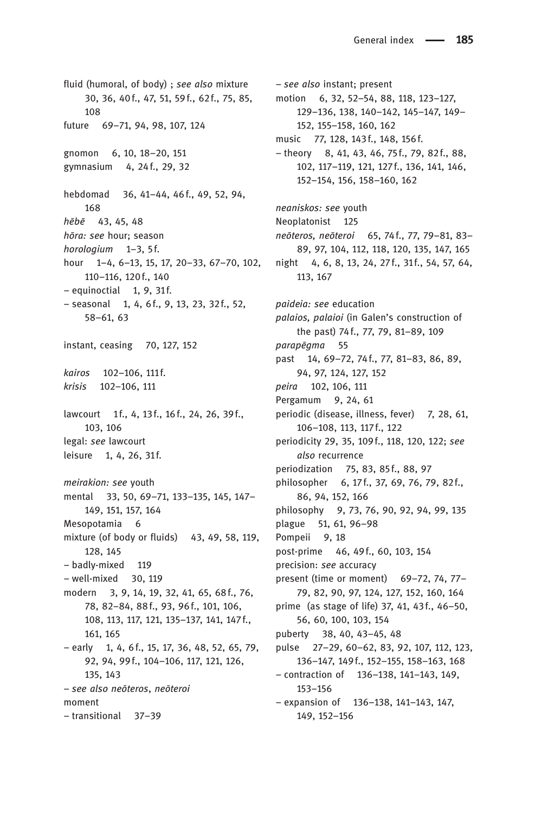fluid (humoral, of body) ; see also mixture 30, 36, 40f., 47, 51, 59 f., 62f., 75, 85, 108 future 69–71, 94, 98, 107, 124 gnomon 6, 10, 18–20, 151 gymnasium 4, 24 f., 29, 32 hebdomad 36, 41–44, 46f., 49, 52, 94, 168 hēbē 43, 45, 48 hōra: see hour; season horologium 1-3, 5f. hour 1–4, 6–13, 15, 17, 20–33, 67–70, 102, 110–116, 120f., 140  $-$  equinoctial 1, 9, 31f. – seasonal 1, 4, 6f., 9, 13, 23, 32f., 52, 58–61, 63 instant, ceasing 70, 127, 152 kairos 102-106, 111f. krisis 102–106, 111 lawcourt 1f., 4, 13f., 16f., 24, 26, 39f., 103, 106 legal: see lawcourt leisure 1, 4, 26, 31f. meirakion: see youth mental 33, 50, 69–71, 133–135, 145, 147– 149, 151, 157, 164 Mesopotamia 6 mixture (of body or fluids) 43, 49, 58, 119, 128, 145 – badly-mixed 119 – well-mixed 30, 119 modern 3, 9, 14, 19, 32, 41, 65, 68f., 76, 78, 82–84, 88f., 93, 96f., 101, 106, 108, 113, 117, 121, 135–137, 141, 147f., 161, 165  $-$  early 1, 4, 6 f., 15, 17, 36, 48, 52, 65, 79, 92, 94, 99f., 104–106, 117, 121, 126, 135, 143 – see also neōteros, neōteroi moment – transitional 37–39

– see also instant; present motion 6, 32, 52–54, 88, 118, 123–127, 129–136, 138, 140–142, 145–147, 149– 152, 155–158, 160, 162 music 77, 128, 143f., 148, 156f. – theory 8, 41, 43, 46, 75f., 79, 82f., 88, 102, 117–119, 121, 127f., 136, 141, 146, 152–154, 156, 158–160, 162 neaniskos: see youth Neoplatonist 125 neōteros, neōteroi 65, 74f., 77, 79–81, 83– 89, 97, 104, 112, 118, 120, 135, 147, 165 night 4, 6, 8, 13, 24, 27f., 31f., 54, 57, 64, 113, 167 paideia: see education palaios, palaioi (in Galen's construction of the past) 74 f., 77, 79, 81–89, 109 parapēgma 55 past 14, 69–72, 74f., 77, 81–83, 86, 89, 94, 97, 124, 127, 152 peira 102, 106, 111 Pergamum 9, 24, 61 periodic (disease, illness, fever) 7, 28, 61, 106–108, 113, 117f., 122 periodicity 29, 35, 109f., 118, 120, 122; see also recurrence periodization 75, 83, 85 f., 88, 97 philosopher 6, 17f., 37, 69, 76, 79, 82f., 86, 94, 152, 166 philosophy 9, 73, 76, 90, 92, 94, 99, 135 plague 51, 61, 96–98 Pompeii 9, 18 post-prime 46, 49f., 60, 103, 154 precision: see accuracy present (time or moment) 69–72, 74, 77– 79, 82, 90, 97, 124, 127, 152, 160, 164 prime (as stage of life) 37, 41, 43f., 46–50, 56, 60, 100, 103, 154 puberty 38, 40, 43–45, 48 pulse 27–29, 60–62, 83, 92, 107, 112, 123, 136–147, 149f., 152–155, 158–163, 168 – contraction of 136–138, 141–143, 149, 153–156 – expansion of 136–138, 141–143, 147, 149, 152–156